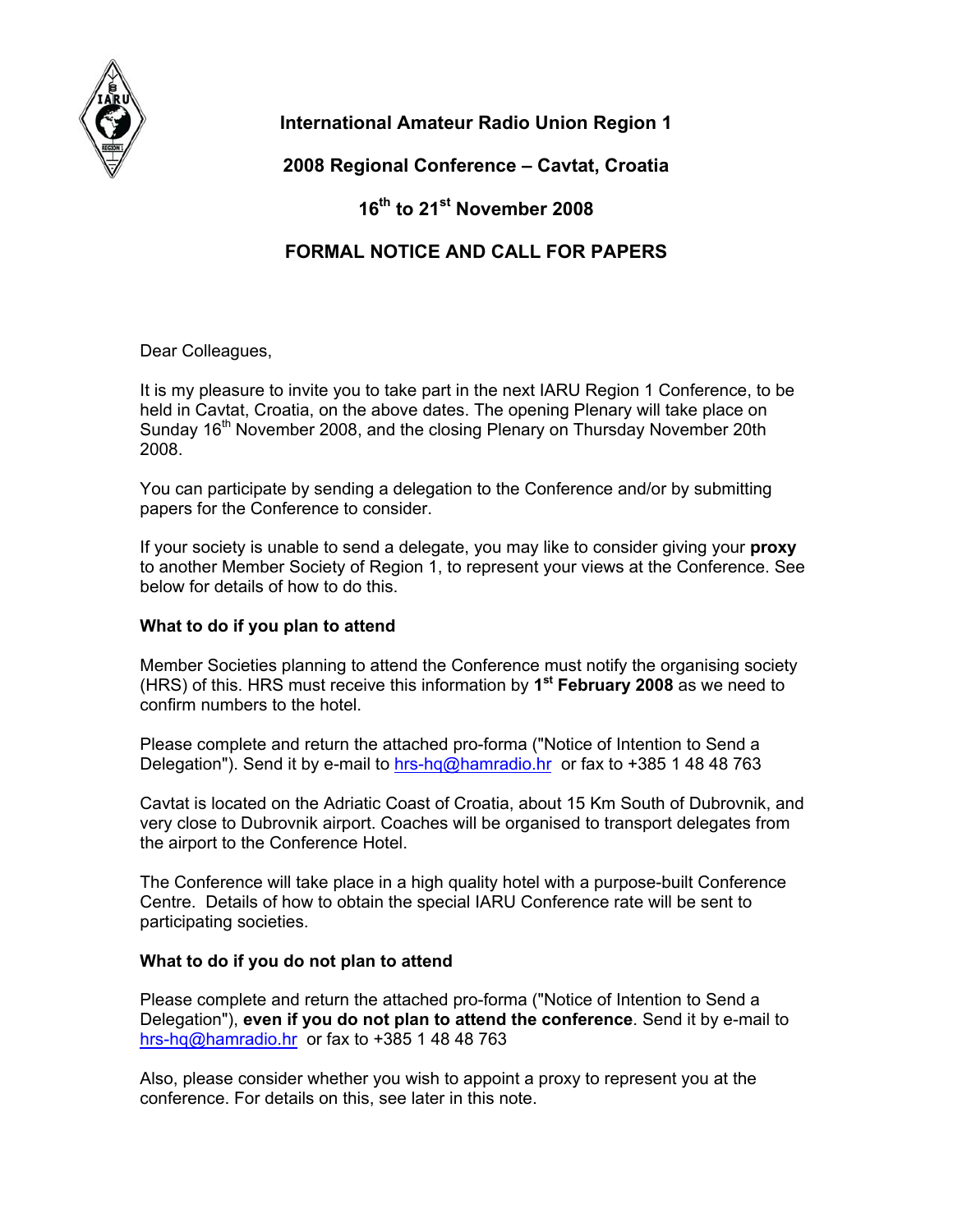

# **International Amateur Radio Union Region 1**

# **2008 Regional Conference – Cavtat, Croatia**

# **16th to 21st November 2008**

## **FORMAL NOTICE AND CALL FOR PAPERS**

Dear Colleagues,

It is my pleasure to invite you to take part in the next IARU Region 1 Conference, to be held in Cavtat, Croatia, on the above dates. The opening Plenary will take place on Sunday 16<sup>th</sup> November 2008, and the closing Plenary on Thursday November 20th 2008.

You can participate by sending a delegation to the Conference and/or by submitting papers for the Conference to consider.

If your society is unable to send a delegate, you may like to consider giving your **proxy** to another Member Society of Region 1, to represent your views at the Conference. See below for details of how to do this.

## **What to do if you plan to attend**

Member Societies planning to attend the Conference must notify the organising society (HRS) of this. HRS must receive this information by **1st February 2008** as we need to confirm numbers to the hotel.

Please complete and return the attached pro-forma ("Notice of Intention to Send a Delegation"). Send it by e-mail to [hrs-hq@hamradio.hr](mailto:hrs-hq@hamradio.hr) or fax to +385 1 48 48 763

Cavtat is located on the Adriatic Coast of Croatia, about 15 Km South of Dubrovnik, and very close to Dubrovnik airport. Coaches will be organised to transport delegates from the airport to the Conference Hotel.

The Conference will take place in a high quality hotel with a purpose-built Conference Centre. Details of how to obtain the special IARU Conference rate will be sent to participating societies.

## **What to do if you do not plan to attend**

Please complete and return the attached pro-forma ("Notice of Intention to Send a Delegation"), **even if you do not plan to attend the conference**. Send it by e-mail to [hrs-hq@hamradio.hr](mailto:hrs-hq@hamradio.hr) or fax to +385 1 48 48 763

Also, please consider whether you wish to appoint a proxy to represent you at the conference. For details on this, see later in this note.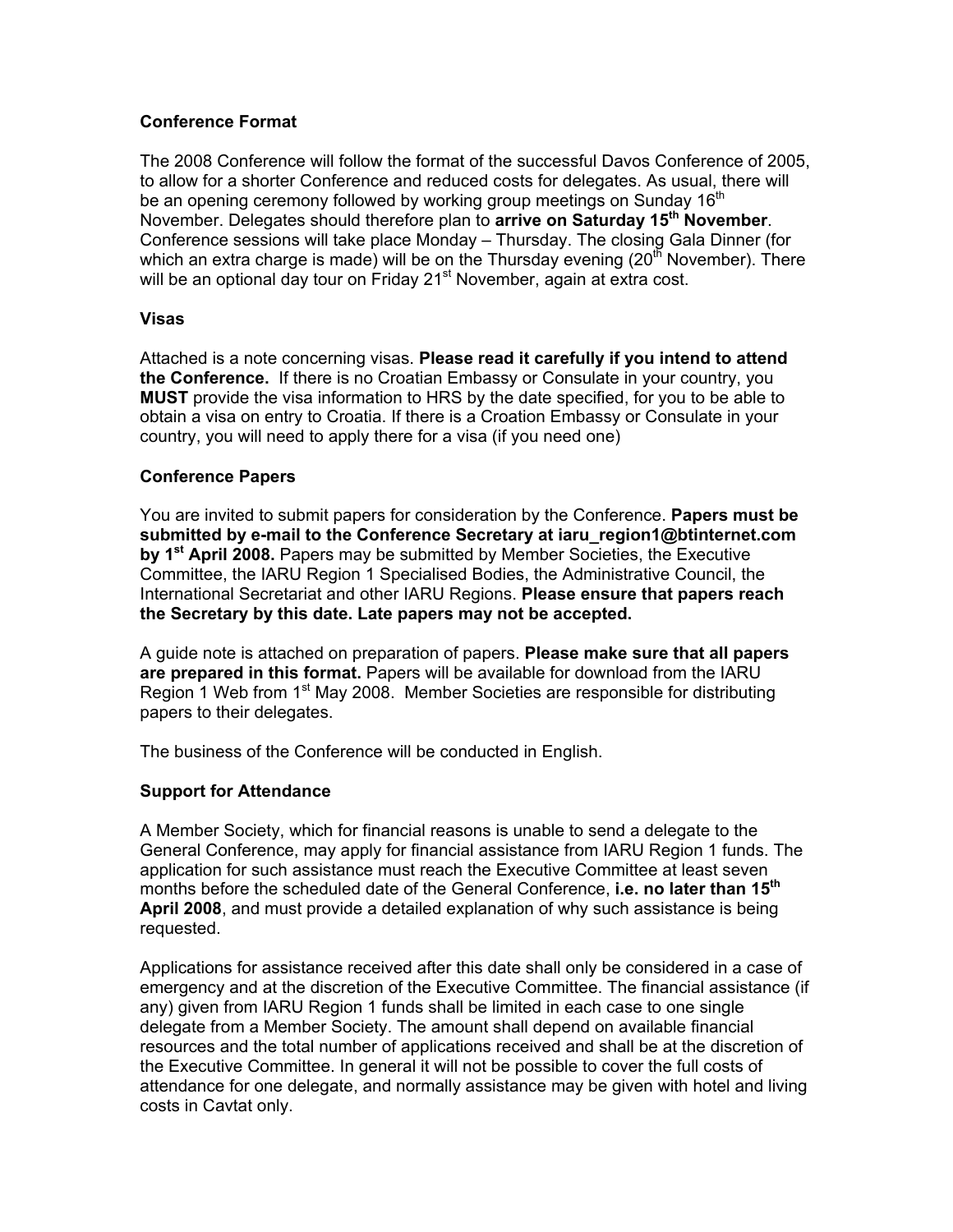### **Conference Format**

The 2008 Conference will follow the format of the successful Davos Conference of 2005, to allow for a shorter Conference and reduced costs for delegates. As usual, there will be an opening ceremony followed by working group meetings on Sunday 16<sup>th</sup> November. Delegates should therefore plan to **arrive on Saturday 15th November**. Conference sessions will take place Monday – Thursday. The closing Gala Dinner (for which an extra charge is made) will be on the Thursday evening (20<sup>th</sup> November). There will be an optional day tour on Friday 21<sup>st</sup> November, again at extra cost.

#### **Visas**

Attached is a note concerning visas. **Please read it carefully if you intend to attend the Conference.** If there is no Croatian Embassy or Consulate in your country, you **MUST** provide the visa information to HRS by the date specified, for you to be able to obtain a visa on entry to Croatia. If there is a Croation Embassy or Consulate in your country, you will need to apply there for a visa (if you need one)

### **Conference Papers**

You are invited to submit papers for consideration by the Conference. **Papers must be submitted by e-mail to the Conference Secretary at iaru\_region1@btinternet.com by 1st April 2008.** Papers may be submitted by Member Societies, the Executive Committee, the IARU Region 1 Specialised Bodies, the Administrative Council, the International Secretariat and other IARU Regions. **Please ensure that papers reach the Secretary by this date. Late papers may not be accepted.** 

A guide note is attached on preparation of papers. **Please make sure that all papers are prepared in this format.** Papers will be available for download from the IARU Region 1 Web from 1<sup>st</sup> May 2008. Member Societies are responsible for distributing papers to their delegates.

The business of the Conference will be conducted in English.

## **Support for Attendance**

A Member Society, which for financial reasons is unable to send a delegate to the General Conference, may apply for financial assistance from IARU Region 1 funds. The application for such assistance must reach the Executive Committee at least seven months before the scheduled date of the General Conference, **i.e. no later than 15th April 2008**, and must provide a detailed explanation of why such assistance is being requested.

Applications for assistance received after this date shall only be considered in a case of emergency and at the discretion of the Executive Committee. The financial assistance (if any) given from IARU Region 1 funds shall be limited in each case to one single delegate from a Member Society. The amount shall depend on available financial resources and the total number of applications received and shall be at the discretion of the Executive Committee. In general it will not be possible to cover the full costs of attendance for one delegate, and normally assistance may be given with hotel and living costs in Cavtat only.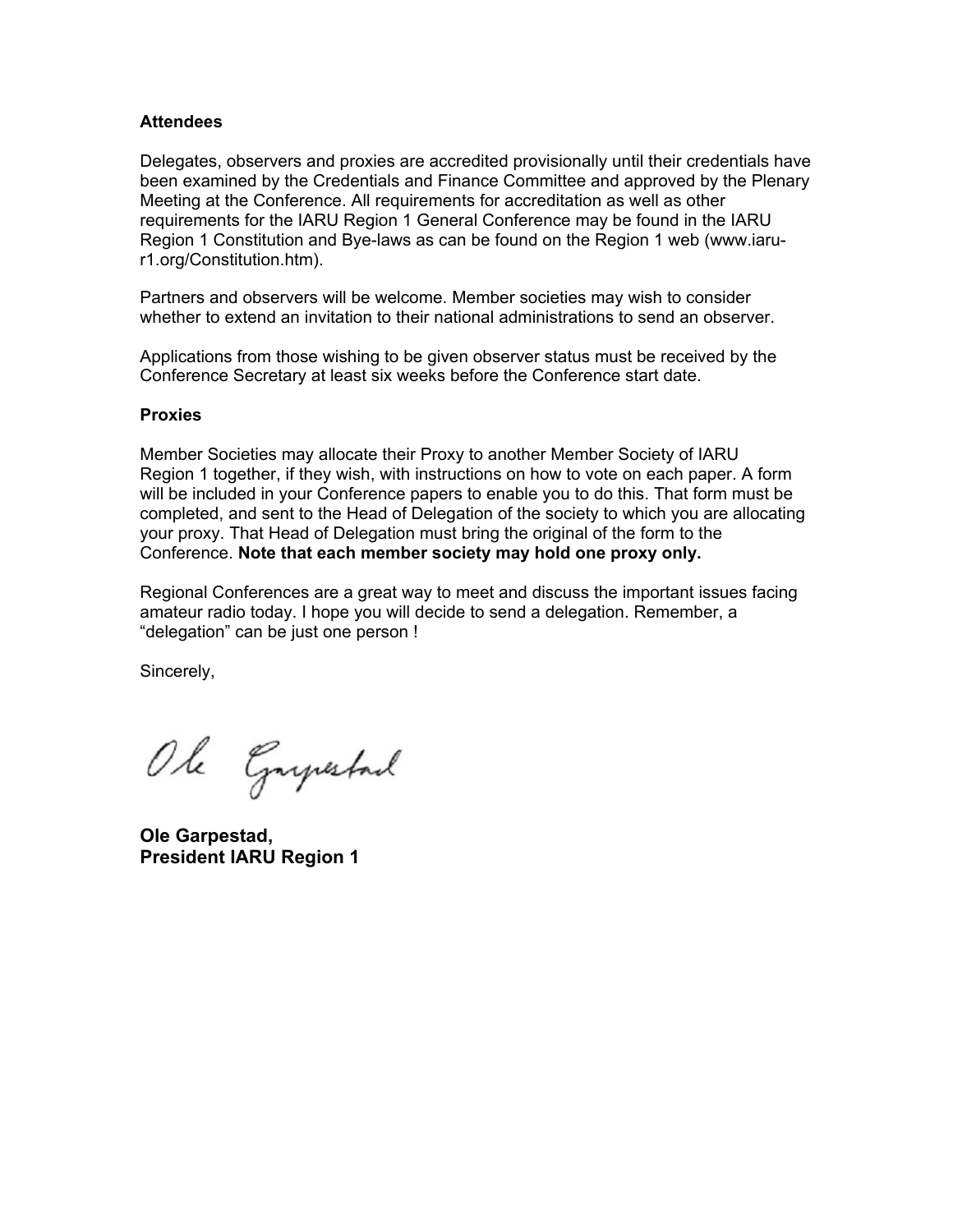#### **Attendees**

Delegates, observers and proxies are accredited provisionally until their credentials have been examined by the Credentials and Finance Committee and approved by the Plenary Meeting at the Conference. All requirements for accreditation as well as other requirements for the IARU Region 1 General Conference may be found in the IARU Region 1 Constitution and Bye-laws as can be found on the Region 1 web (www.iarur1.org/Constitution.htm).

Partners and observers will be welcome. Member societies may wish to consider whether to extend an invitation to their national administrations to send an observer.

Applications from those wishing to be given observer status must be received by the Conference Secretary at least six weeks before the Conference start date.

#### **Proxies**

Member Societies may allocate their Proxy to another Member Society of IARU Region 1 together, if they wish, with instructions on how to vote on each paper. A form will be included in your Conference papers to enable you to do this. That form must be completed, and sent to the Head of Delegation of the society to which you are allocating your proxy. That Head of Delegation must bring the original of the form to the Conference. **Note that each member society may hold one proxy only.**

Regional Conferences are a great way to meet and discuss the important issues facing amateur radio today. I hope you will decide to send a delegation. Remember, a "delegation" can be just one person !

Sincerely,

Ole Grysstad

**Ole Garpestad, President IARU Region 1**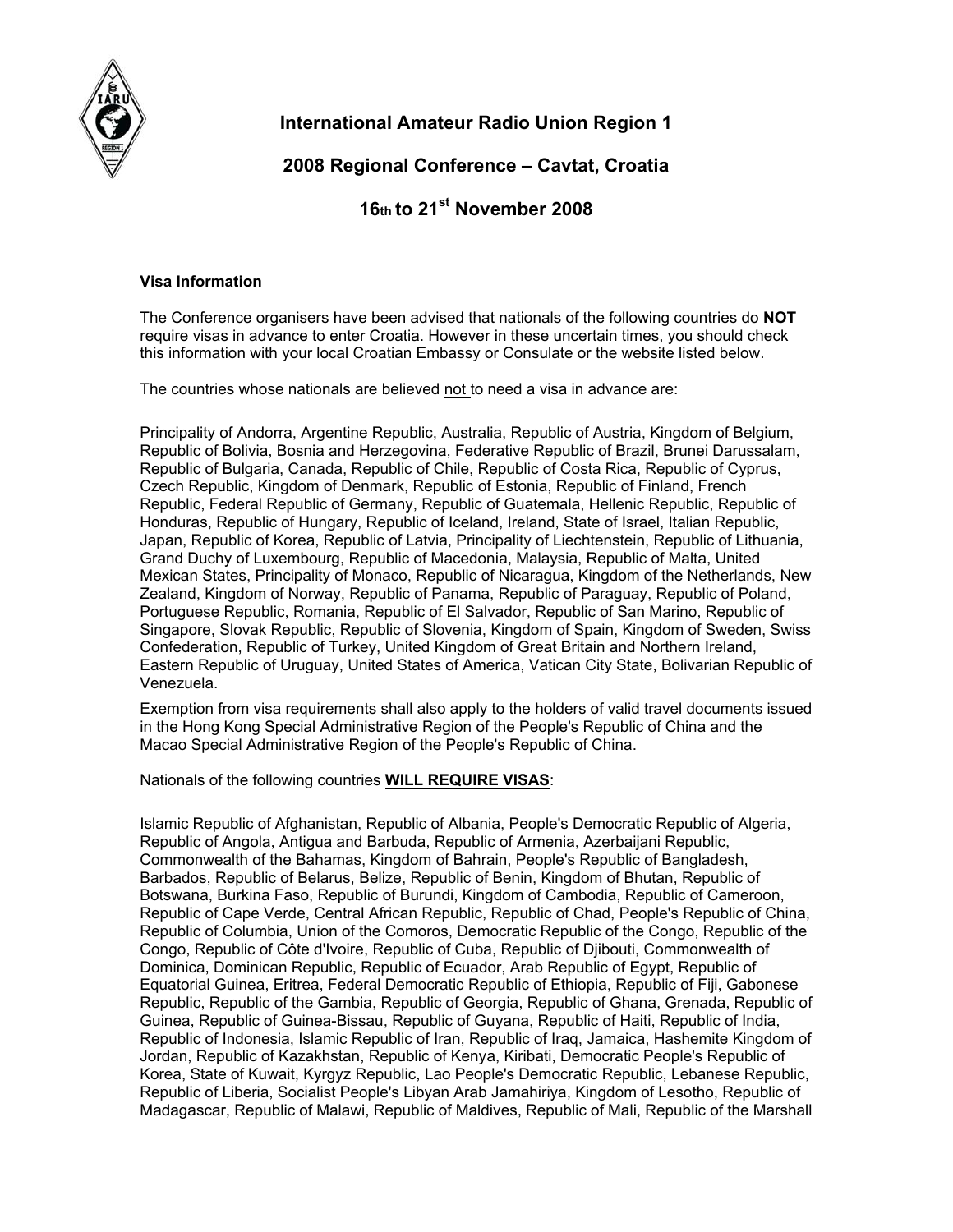

# **International Amateur Radio Union Region 1**

## **2008 Regional Conference – Cavtat, Croatia**

## **16th to 21st November 2008**

#### **Visa Information**

The Conference organisers have been advised that nationals of the following countries do **NOT**  require visas in advance to enter Croatia. However in these uncertain times, you should check this information with your local Croatian Embassy or Consulate or the website listed below.

The countries whose nationals are believed not to need a visa in advance are:

Principality of Andorra, Argentine Republic, Australia, Republic of Austria, Kingdom of Belgium, Republic of Bolivia, Bosnia and Herzegovina, Federative Republic of Brazil, Brunei Darussalam, Republic of Bulgaria, Canada, Republic of Chile, Republic of Costa Rica, Republic of Cyprus, Czech Republic, Kingdom of Denmark, Republic of Estonia, Republic of Finland, French Republic, Federal Republic of Germany, Republic of Guatemala, Hellenic Republic, Republic of Honduras, Republic of Hungary, Republic of Iceland, Ireland, State of Israel, Italian Republic, Japan, Republic of Korea, Republic of Latvia, Principality of Liechtenstein, Republic of Lithuania, Grand Duchy of Luxembourg, Republic of Macedonia, Malaysia, Republic of Malta, United Mexican States, Principality of Monaco, Republic of Nicaragua, Kingdom of the Netherlands, New Zealand, Kingdom of Norway, Republic of Panama, Republic of Paraguay, Republic of Poland, Portuguese Republic, Romania, Republic of El Salvador, Republic of San Marino, Republic of Singapore, Slovak Republic, Republic of Slovenia, Kingdom of Spain, Kingdom of Sweden, Swiss Confederation, Republic of Turkey, United Kingdom of Great Britain and Northern Ireland, Eastern Republic of Uruguay, United States of America, Vatican City State, Bolivarian Republic of Venezuela.

Exemption from visa requirements shall also apply to the holders of valid travel documents issued in the Hong Kong Special Administrative Region of the People's Republic of China and the Macao Special Administrative Region of the People's Republic of China.

Nationals of the following countries **WILL REQUIRE VISAS**:

Islamic Republic of Afghanistan, Republic of Albania, People's Democratic Republic of Algeria, Republic of Angola, Antigua and Barbuda, Republic of Armenia, Azerbaijani Republic, Commonwealth of the Bahamas, Kingdom of Bahrain, People's Republic of Bangladesh, Barbados, Republic of Belarus, Belize, Republic of Benin, Kingdom of Bhutan, Republic of Botswana, Burkina Faso, Republic of Burundi, Kingdom of Cambodia, Republic of Cameroon, Republic of Cape Verde, Central African Republic, Republic of Chad, People's Republic of China, Republic of Columbia, Union of the Comoros, Democratic Republic of the Congo, Republic of the Congo, Republic of Côte d'Ivoire, Republic of Cuba, Republic of Djibouti, Commonwealth of Dominica, Dominican Republic, Republic of Ecuador, Arab Republic of Egypt, Republic of Equatorial Guinea, Eritrea, Federal Democratic Republic of Ethiopia, Republic of Fiji, Gabonese Republic, Republic of the Gambia, Republic of Georgia, Republic of Ghana, Grenada, Republic of Guinea, Republic of Guinea-Bissau, Republic of Guyana, Republic of Haiti, Republic of India, Republic of Indonesia, Islamic Republic of Iran, Republic of Iraq, Jamaica, Hashemite Kingdom of Jordan, Republic of Kazakhstan, Republic of Kenya, Kiribati, Democratic People's Republic of Korea, State of Kuwait, Kyrgyz Republic, Lao People's Democratic Republic, Lebanese Republic, Republic of Liberia, Socialist People's Libyan Arab Jamahiriya, Kingdom of Lesotho, Republic of Madagascar, Republic of Malawi, Republic of Maldives, Republic of Mali, Republic of the Marshall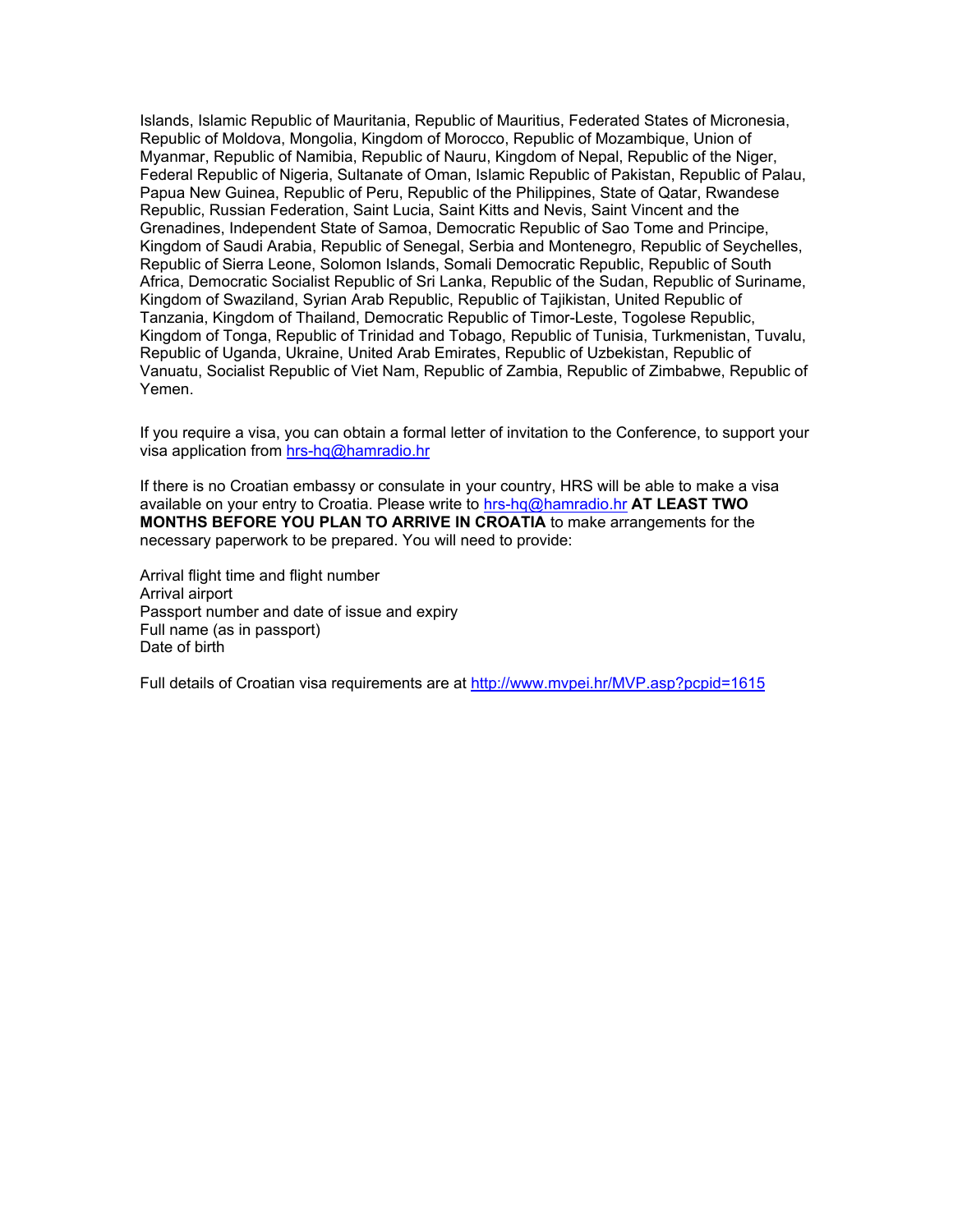Islands, Islamic Republic of Mauritania, Republic of Mauritius, Federated States of Micronesia, Republic of Moldova, Mongolia, Kingdom of Morocco, Republic of Mozambique, Union of Myanmar, Republic of Namibia, Republic of Nauru, Kingdom of Nepal, Republic of the Niger, Federal Republic of Nigeria, Sultanate of Oman, Islamic Republic of Pakistan, Republic of Palau, Papua New Guinea, Republic of Peru, Republic of the Philippines, State of Qatar, Rwandese Republic, Russian Federation, Saint Lucia, Saint Kitts and Nevis, Saint Vincent and the Grenadines, Independent State of Samoa, Democratic Republic of Sao Tome and Principe, Kingdom of Saudi Arabia, Republic of Senegal, Serbia and Montenegro, Republic of Seychelles, Republic of Sierra Leone, Solomon Islands, Somali Democratic Republic, Republic of South Africa, Democratic Socialist Republic of Sri Lanka, Republic of the Sudan, Republic of Suriname, Kingdom of Swaziland, Syrian Arab Republic, Republic of Tajikistan, United Republic of Tanzania, Kingdom of Thailand, Democratic Republic of Timor-Leste, Togolese Republic, Kingdom of Tonga, Republic of Trinidad and Tobago, Republic of Tunisia, Turkmenistan, Tuvalu, Republic of Uganda, Ukraine, United Arab Emirates, Republic of Uzbekistan, Republic of Vanuatu, Socialist Republic of Viet Nam, Republic of Zambia, Republic of Zimbabwe, Republic of Yemen.

If you require a visa, you can obtain a formal letter of invitation to the Conference, to support your visa application from [hrs-hq@hamradio.hr](mailto:hrs-hq@hamradio.hr)

If there is no Croatian embassy or consulate in your country, HRS will be able to make a visa available on your entry to Croatia. Please write to [hrs-hq@hamradio.hr](mailto:hrs-hq@hamradio.hr) **AT LEAST TWO MONTHS BEFORE YOU PLAN TO ARRIVE IN CROATIA** to make arrangements for the necessary paperwork to be prepared. You will need to provide:

Arrival flight time and flight number Arrival airport Passport number and date of issue and expiry Full name (as in passport) Date of birth

Full details of Croatian visa requirements are at <http://www.mvpei.hr/MVP.asp?pcpid=1615>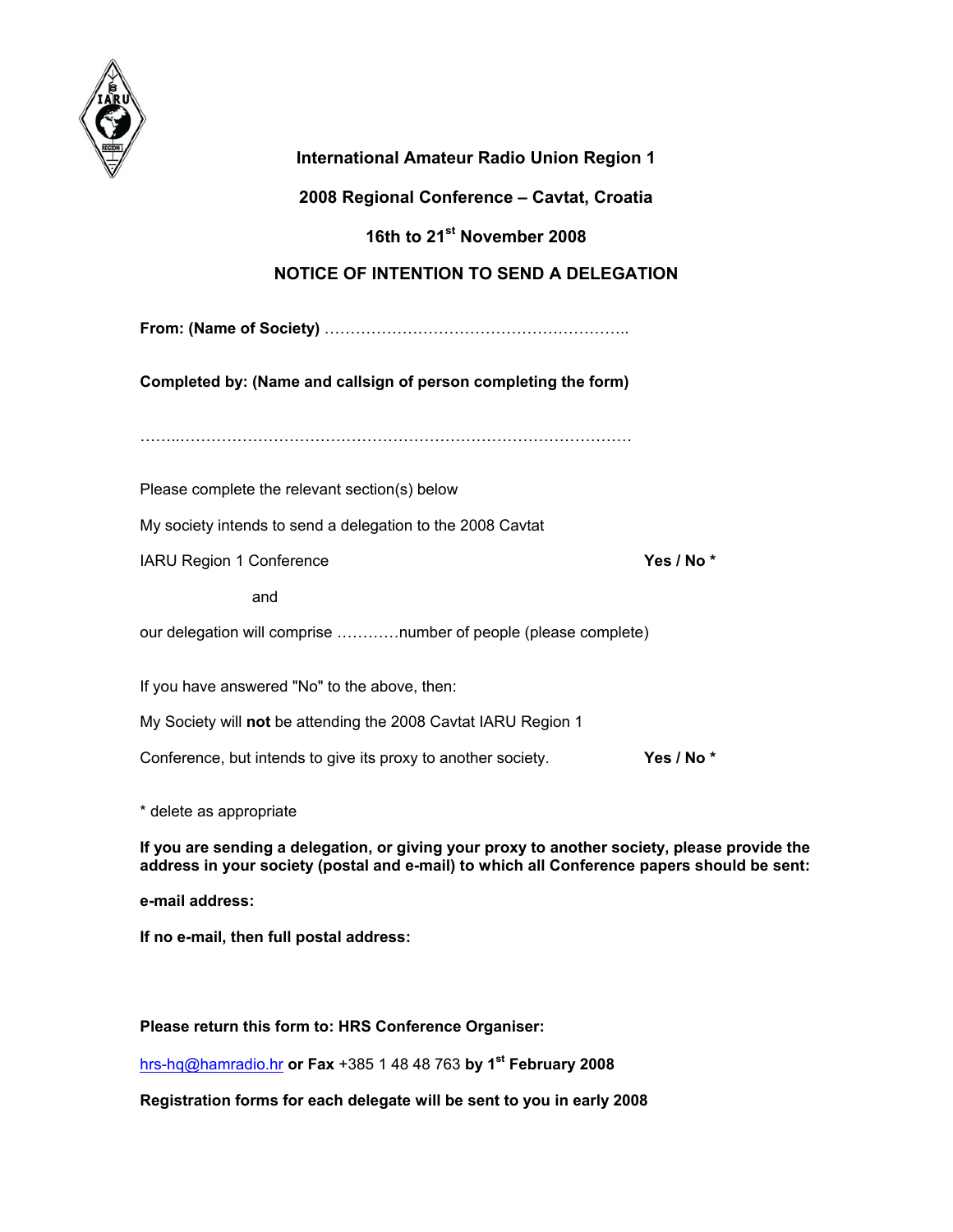

| <b>International Amateur Radio Union Region 1</b>               |            |
|-----------------------------------------------------------------|------------|
| 2008 Regional Conference - Cavtat, Croatia                      |            |
| 16th to 21 <sup>st</sup> November 2008                          |            |
| <b>NOTICE OF INTENTION TO SEND A DELEGATION</b>                 |            |
|                                                                 |            |
| Completed by: (Name and callsign of person completing the form) |            |
|                                                                 |            |
| Please complete the relevant section(s) below                   |            |
| My society intends to send a delegation to the 2008 Cavtat      |            |
| IARU Region 1 Conference                                        | Yes / No * |
| and                                                             |            |
| our delegation will comprise number of people (please complete) |            |
| If you have answered "No" to the above, then:                   |            |
| My Society will not be attending the 2008 Cavtat IARU Region 1  |            |
| Conference, but intends to give its proxy to another society.   | Yes / No * |

\* delete as appropriate

**If you are sending a delegation, or giving your proxy to another society, please provide the address in your society (postal and e-mail) to which all Conference papers should be sent:** 

**e-mail address:** 

**If no e-mail, then full postal address:** 

**Please return this form to: HRS Conference Organiser:** 

[hrs-hq@hamradio.hr](mailto:hrs-hq@hamradio.hr) **or Fax** +385 1 48 48 763 **by 1st February 2008**

**Registration forms for each delegate will be sent to you in early 2008**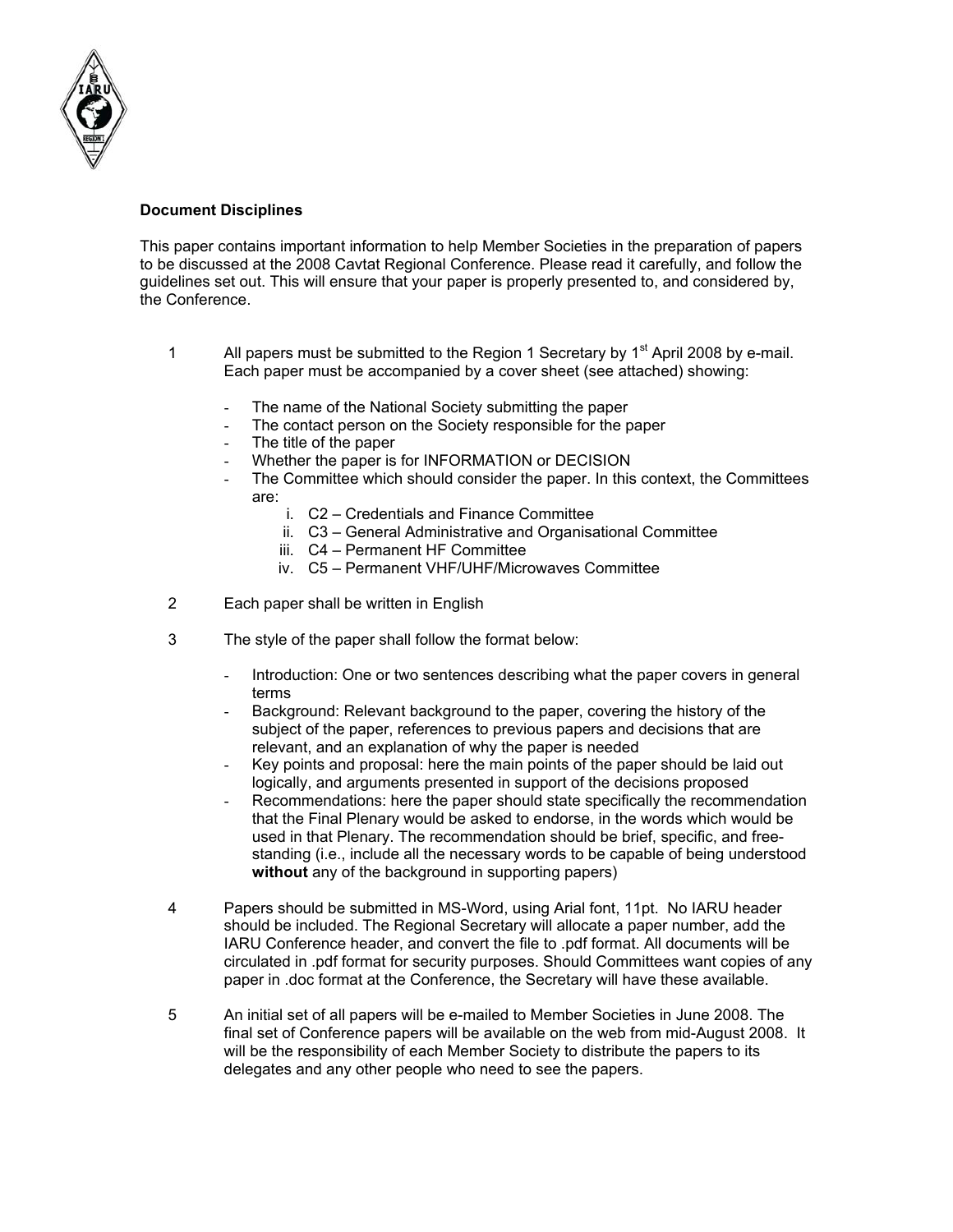

#### **Document Disciplines**

This paper contains important information to help Member Societies in the preparation of papers to be discussed at the 2008 Cavtat Regional Conference. Please read it carefully, and follow the guidelines set out. This will ensure that your paper is properly presented to, and considered by, the Conference.

- 1 All papers must be submitted to the Region 1 Secretary by  $1<sup>st</sup>$  April 2008 by e-mail. Each paper must be accompanied by a cover sheet (see attached) showing:
	- The name of the National Society submitting the paper
	- The contact person on the Society responsible for the paper
	- The title of the paper
	- Whether the paper is for INFORMATION or DECISION
	- The Committee which should consider the paper. In this context, the Committees are:
		- i. C2 Credentials and Finance Committee
		- ii. C3 General Administrative and Organisational Committee
		- iii. C4 Permanent HF Committee
		- iv. C5 Permanent VHF/UHF/Microwaves Committee
- 2 Each paper shall be written in English
- 3 The style of the paper shall follow the format below:
	- Introduction: One or two sentences describing what the paper covers in general terms
	- Background: Relevant background to the paper, covering the history of the subject of the paper, references to previous papers and decisions that are relevant, and an explanation of why the paper is needed
	- Key points and proposal: here the main points of the paper should be laid out logically, and arguments presented in support of the decisions proposed
	- Recommendations: here the paper should state specifically the recommendation that the Final Plenary would be asked to endorse, in the words which would be used in that Plenary. The recommendation should be brief, specific, and freestanding (i.e., include all the necessary words to be capable of being understood **without** any of the background in supporting papers)
- 4 Papers should be submitted in MS-Word, using Arial font, 11pt. No IARU header should be included. The Regional Secretary will allocate a paper number, add the IARU Conference header, and convert the file to .pdf format. All documents will be circulated in .pdf format for security purposes. Should Committees want copies of any paper in .doc format at the Conference, the Secretary will have these available.
- 5 An initial set of all papers will be e-mailed to Member Societies in June 2008. The final set of Conference papers will be available on the web from mid-August 2008. It will be the responsibility of each Member Society to distribute the papers to its delegates and any other people who need to see the papers.